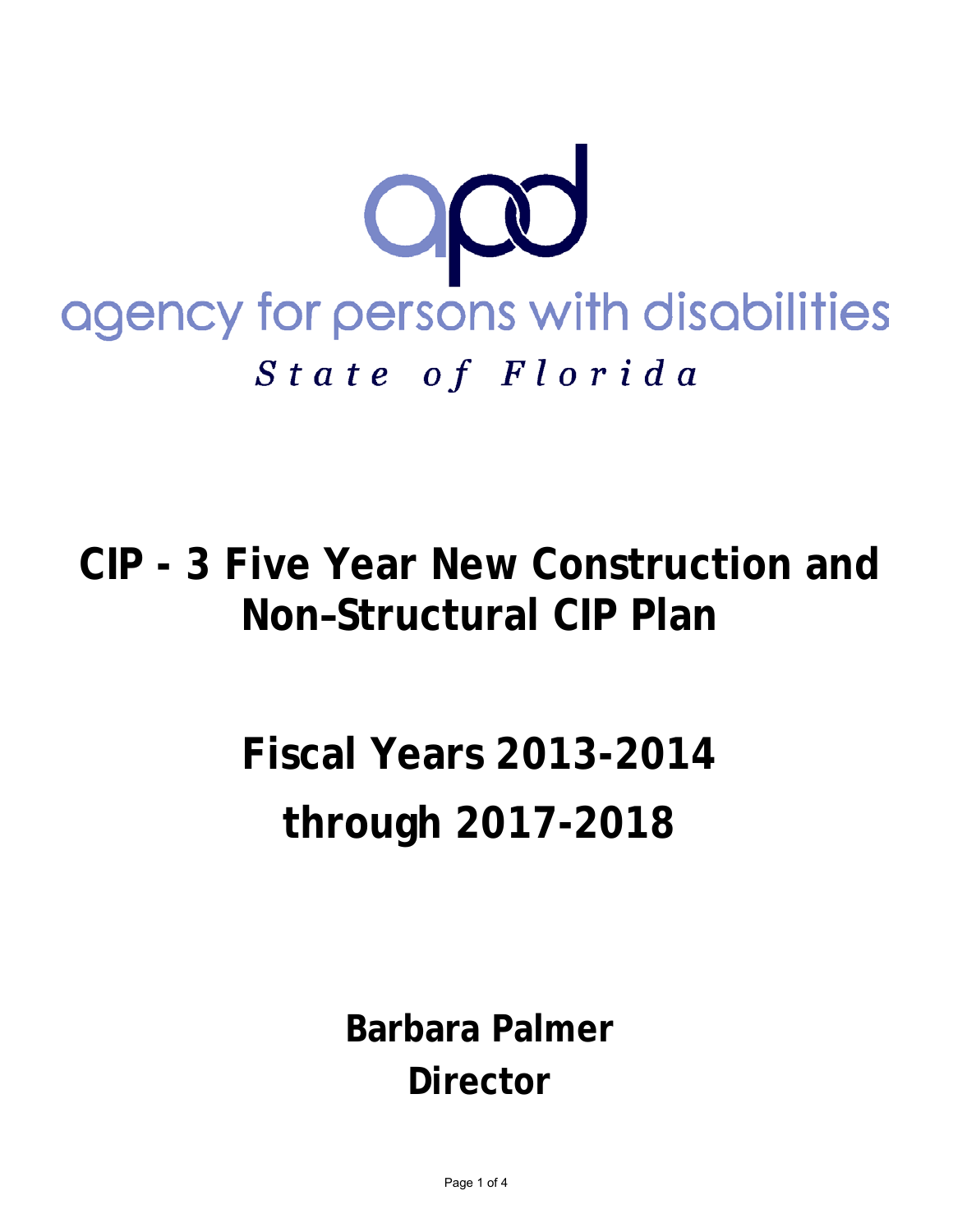

**CIP - 3 Five Year New Construction and Non–Structural CIP Plan**

## **Fiscal Years 2013-2014 through 2017-2018**

**Barbara Palmer Director**

Page 1 of 4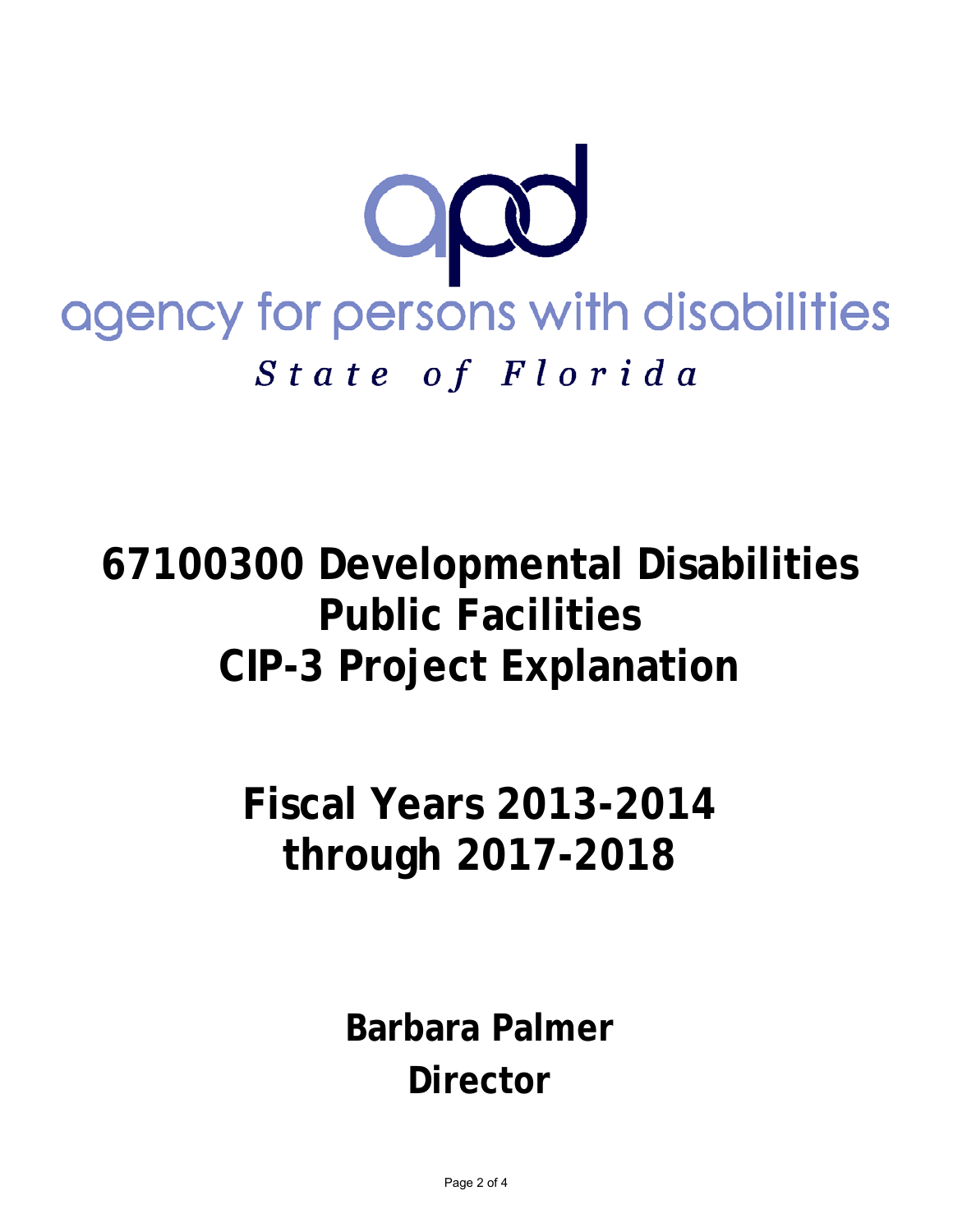

**67100300 Developmental Disabilities Public Facilities CIP-3 Project Explanation** 

> **Fiscal Years 2013-2014 through 2017-2018**

> > **Barbara Palmer Director**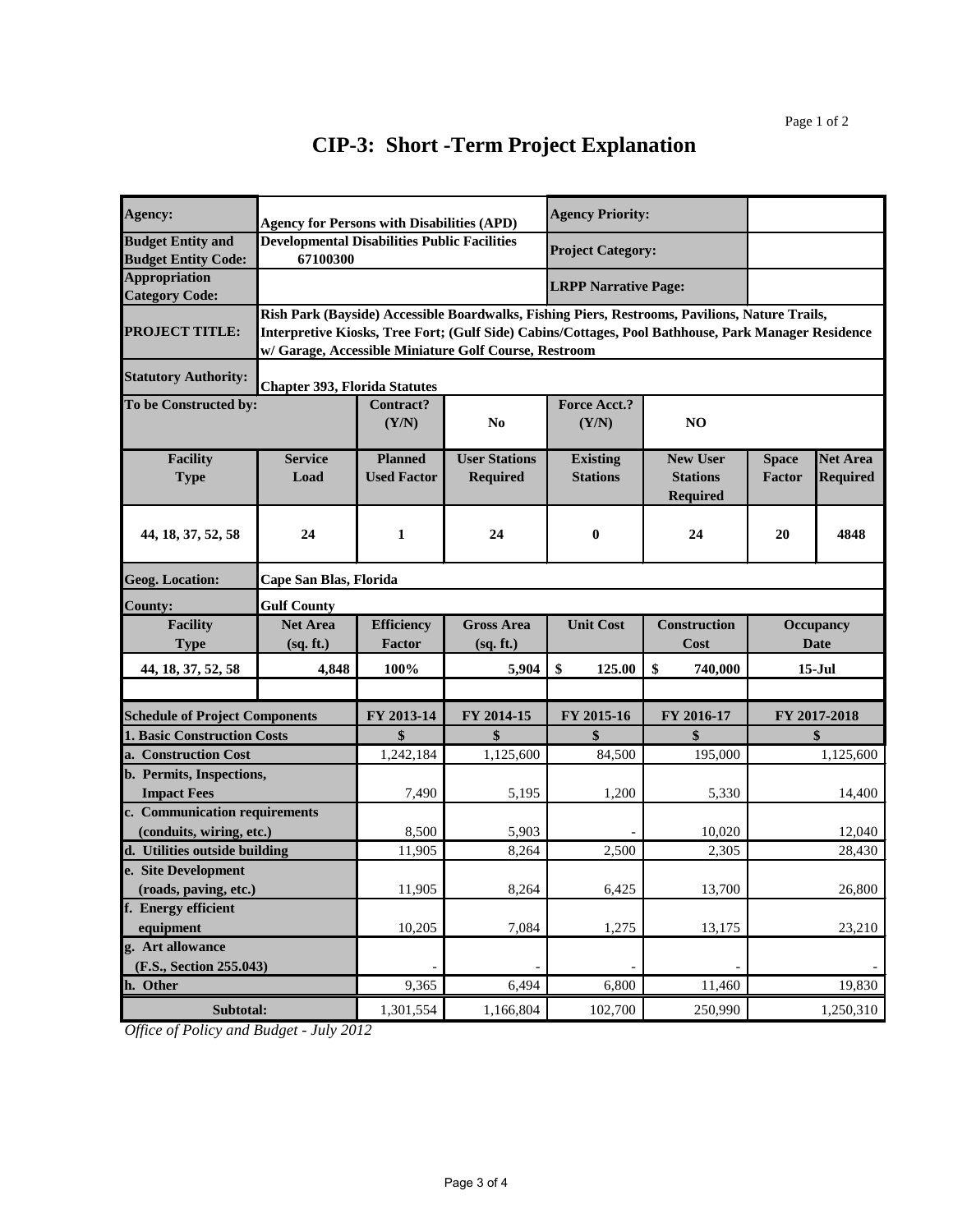## **CIP-3: Short -Term Project Explanation**

| Agency:                               | <b>Agency for Persons with Disabilities (APD)</b>                                                   |                    |                      | <b>Agency Priority:</b>     |                     |                  |                 |  |  |  |  |
|---------------------------------------|-----------------------------------------------------------------------------------------------------|--------------------|----------------------|-----------------------------|---------------------|------------------|-----------------|--|--|--|--|
| <b>Budget Entity and</b>              | <b>Developmental Disabilities Public Facilities</b>                                                 |                    |                      | <b>Project Category:</b>    |                     |                  |                 |  |  |  |  |
| <b>Budget Entity Code:</b>            | 67100300                                                                                            |                    |                      |                             |                     |                  |                 |  |  |  |  |
| <b>Appropriation</b>                  |                                                                                                     |                    |                      | <b>LRPP Narrative Page:</b> |                     |                  |                 |  |  |  |  |
| <b>Category Code:</b>                 |                                                                                                     |                    |                      |                             |                     |                  |                 |  |  |  |  |
|                                       | Rish Park (Bayside) Accessible Boardwalks, Fishing Piers, Restrooms, Pavilions, Nature Trails,      |                    |                      |                             |                     |                  |                 |  |  |  |  |
| <b>PROJECT TITLE:</b>                 | Interpretive Kiosks, Tree Fort; (Gulf Side) Cabins/Cottages, Pool Bathhouse, Park Manager Residence |                    |                      |                             |                     |                  |                 |  |  |  |  |
|                                       | w/ Garage, Accessible Miniature Golf Course, Restroom                                               |                    |                      |                             |                     |                  |                 |  |  |  |  |
| <b>Statutory Authority:</b>           | <b>Chapter 393, Florida Statutes</b>                                                                |                    |                      |                             |                     |                  |                 |  |  |  |  |
| To be Constructed by:                 |                                                                                                     | Contract?          |                      | <b>Force Acct.?</b>         |                     |                  |                 |  |  |  |  |
|                                       |                                                                                                     | (Y/N)              | N <sub>0</sub>       | (Y/N)                       | N <sub>O</sub>      |                  |                 |  |  |  |  |
|                                       |                                                                                                     |                    |                      |                             |                     |                  |                 |  |  |  |  |
| <b>Facility</b>                       | <b>Service</b>                                                                                      | <b>Planned</b>     | <b>User Stations</b> | <b>Existing</b>             | <b>New User</b>     | <b>Space</b>     | <b>Net Area</b> |  |  |  |  |
| <b>Type</b>                           | Load                                                                                                | <b>Used Factor</b> | <b>Required</b>      | <b>Stations</b>             | <b>Stations</b>     | Factor           | <b>Required</b> |  |  |  |  |
|                                       |                                                                                                     |                    |                      |                             | <b>Required</b>     |                  |                 |  |  |  |  |
|                                       |                                                                                                     |                    |                      |                             |                     |                  |                 |  |  |  |  |
| 44, 18, 37, 52, 58                    | 24                                                                                                  | 1                  | 24                   | $\bf{0}$                    | 24                  | 20               | 4848            |  |  |  |  |
|                                       |                                                                                                     |                    |                      |                             |                     |                  |                 |  |  |  |  |
| <b>Geog. Location:</b>                | Cape San Blas, Florida                                                                              |                    |                      |                             |                     |                  |                 |  |  |  |  |
| <b>County:</b>                        | <b>Gulf County</b>                                                                                  |                    |                      |                             |                     |                  |                 |  |  |  |  |
| <b>Facility</b>                       | <b>Net Area</b>                                                                                     | <b>Efficiency</b>  | <b>Gross Area</b>    | <b>Unit Cost</b>            | <b>Construction</b> | <b>Occupancy</b> |                 |  |  |  |  |
| <b>Type</b>                           | (sq. ft.)                                                                                           | <b>Factor</b>      | (sq. ft.)            |                             | Cost                | Date             |                 |  |  |  |  |
| 44, 18, 37, 52, 58                    | 4,848                                                                                               | 100%               | 5,904                | \$<br>125.00                | \$<br>740,000       | $15-Jul$         |                 |  |  |  |  |
|                                       |                                                                                                     |                    |                      |                             |                     |                  |                 |  |  |  |  |
| <b>Schedule of Project Components</b> |                                                                                                     | FY 2013-14         | FY 2014-15           | FY 2015-16                  | FY 2016-17          | FY 2017-2018     |                 |  |  |  |  |
| <b>1. Basic Construction Costs</b>    |                                                                                                     | \$                 | \$                   | \$                          | \$                  | \$               |                 |  |  |  |  |
| a. Construction Cost                  |                                                                                                     | 1,242,184          | 1,125,600            | 84,500                      | 195,000             |                  | 1,125,600       |  |  |  |  |
| b. Permits, Inspections,              |                                                                                                     |                    |                      |                             |                     |                  |                 |  |  |  |  |
| <b>Impact Fees</b>                    |                                                                                                     | 7,490              | 5,195                | 1,200                       | 5,330               |                  | 14,400          |  |  |  |  |
| c. Communication requirements         |                                                                                                     |                    |                      |                             |                     |                  |                 |  |  |  |  |
| (conduits, wiring, etc.)              |                                                                                                     | 8,500              | 5,903                |                             | 10,020              |                  | 12,040          |  |  |  |  |
| d. Utilities outside building         |                                                                                                     | 11,905             | 8,264                | 2,500                       | 2,305               | 28,430           |                 |  |  |  |  |
| e. Site Development                   |                                                                                                     |                    |                      |                             |                     |                  |                 |  |  |  |  |
| (roads, paving, etc.)                 |                                                                                                     | 11,905             | 8,264                | 6,425                       | 13,700              |                  | 26,800          |  |  |  |  |
| f. Energy efficient                   |                                                                                                     |                    |                      |                             |                     |                  |                 |  |  |  |  |
| equipment                             |                                                                                                     | 10,205             | 7,084                | 1,275                       | 13,175              |                  | 23,210          |  |  |  |  |
| g. Art allowance                      |                                                                                                     |                    |                      |                             |                     |                  |                 |  |  |  |  |
| (F.S., Section 255.043)               |                                                                                                     |                    |                      |                             |                     |                  |                 |  |  |  |  |
| h. Other                              |                                                                                                     | 9,365              | 6,494                | 6,800                       | 11,460              |                  | 19,830          |  |  |  |  |
| Subtotal:                             |                                                                                                     | 1,301,554          | 1,166,804            | 102,700                     | 250,990             | 1,250,310        |                 |  |  |  |  |

*Office of Policy and Budget - July 2012*